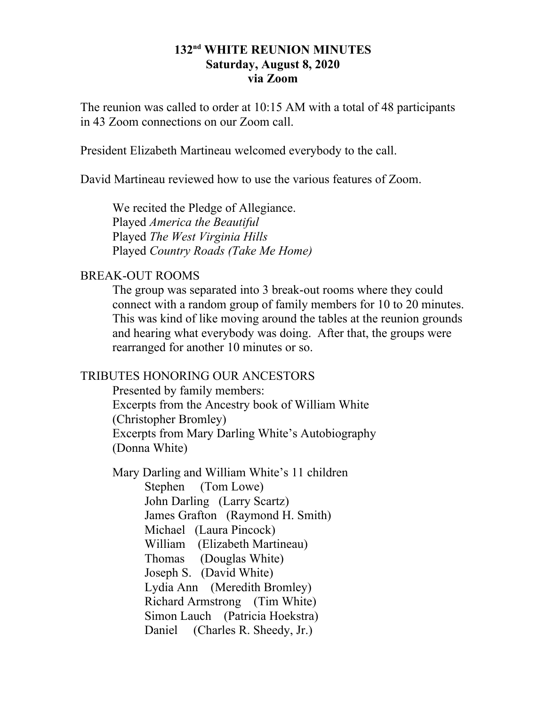## **132nd WHITE REUNION MINUTES Saturday, August 8, 2020 via Zoom**

The reunion was called to order at 10:15 AM with a total of 48 participants in 43 Zoom connections on our Zoom call.

President Elizabeth Martineau welcomed everybody to the call.

David Martineau reviewed how to use the various features of Zoom.

We recited the Pledge of Allegiance. Played *America the Beautiful* Played *The West Virginia Hills* Played *Country Roads (Take Me Home)*

# BREAK-OUT ROOMS

The group was separated into 3 break-out rooms where they could connect with a random group of family members for 10 to 20 minutes. This was kind of like moving around the tables at the reunion grounds and hearing what everybody was doing. After that, the groups were rearranged for another 10 minutes or so.

## TRIBUTES HONORING OUR ANCESTORS

Presented by family members: Excerpts from the Ancestry book of William White (Christopher Bromley) Excerpts from Mary Darling White's Autobiography (Donna White)

Mary Darling and William White's 11 children Stephen (Tom Lowe) John Darling (Larry Scartz) James Grafton (Raymond H. Smith) Michael (Laura Pincock) William (Elizabeth Martineau) Thomas (Douglas White) Joseph S. (David White) Lydia Ann (Meredith Bromley) Richard Armstrong (Tim White) Simon Lauch (Patricia Hoekstra) Daniel (Charles R. Sheedy, Jr.)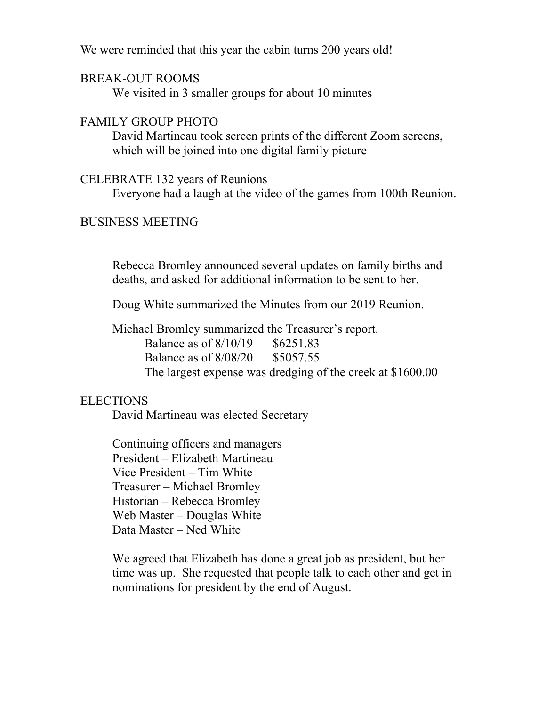We were reminded that this year the cabin turns 200 years old!

#### BREAK-OUT ROOMS

We visited in 3 smaller groups for about 10 minutes

## FAMILY GROUP PHOTO

David Martineau took screen prints of the different Zoom screens, which will be joined into one digital family picture

#### CELEBRATE 132 years of Reunions

Everyone had a laugh at the video of the games from 100th Reunion.

#### BUSINESS MEETING

Rebecca Bromley announced several updates on family births and deaths, and asked for additional information to be sent to her.

Doug White summarized the Minutes from our 2019 Reunion.

Michael Bromley summarized the Treasurer's report. Balance as of 8/10/19 \$6251.83 Balance as of 8/08/20 \$5057.55 The largest expense was dredging of the creek at \$1600.00

## **ELECTIONS**

David Martineau was elected Secretary

Continuing officers and managers President – Elizabeth Martineau Vice President – Tim White Treasurer – Michael Bromley Historian – Rebecca Bromley Web Master – Douglas White Data Master – Ned White

We agreed that Elizabeth has done a great job as president, but her time was up. She requested that people talk to each other and get in nominations for president by the end of August.